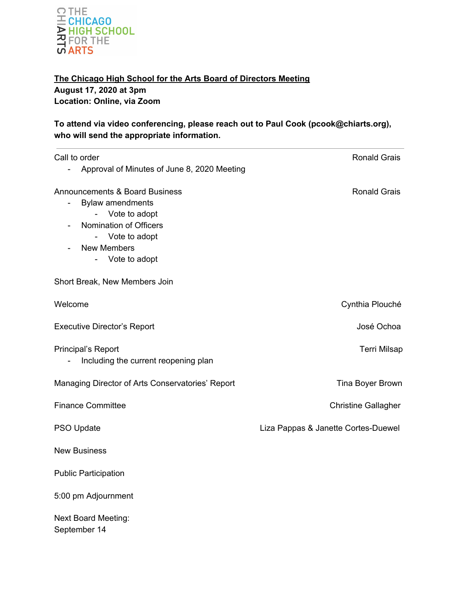

**The Chicago High School for the Arts Board of Directors Meeting August 17, 2020 at 3pm Location: Online, via Zoom**

**To attend via video conferencing, please reach out to Paul Cook (pcook@chiarts.org), who will send the appropriate information.**

| Call to order<br>Approval of Minutes of June 8, 2020 Meeting                                                                                                                      | <b>Ronald Grais</b>                 |
|-----------------------------------------------------------------------------------------------------------------------------------------------------------------------------------|-------------------------------------|
| <b>Announcements &amp; Board Business</b><br><b>Bylaw amendments</b><br>Vote to adopt<br>Nomination of Officers<br>Vote to adopt<br>$\sim$<br><b>New Members</b><br>Vote to adopt | <b>Ronald Grais</b>                 |
| Short Break, New Members Join                                                                                                                                                     |                                     |
| Welcome                                                                                                                                                                           | Cynthia Plouché                     |
| <b>Executive Director's Report</b>                                                                                                                                                | José Ochoa                          |
| Principal's Report<br>Including the current reopening plan                                                                                                                        | <b>Terri Milsap</b>                 |
| Managing Director of Arts Conservatories' Report                                                                                                                                  | <b>Tina Boyer Brown</b>             |
| <b>Finance Committee</b>                                                                                                                                                          | <b>Christine Gallagher</b>          |
| PSO Update                                                                                                                                                                        | Liza Pappas & Janette Cortes-Duewel |
| <b>New Business</b>                                                                                                                                                               |                                     |
| <b>Public Participation</b>                                                                                                                                                       |                                     |
| 5:00 pm Adjournment                                                                                                                                                               |                                     |
| <b>Next Board Meeting:</b><br>September 14                                                                                                                                        |                                     |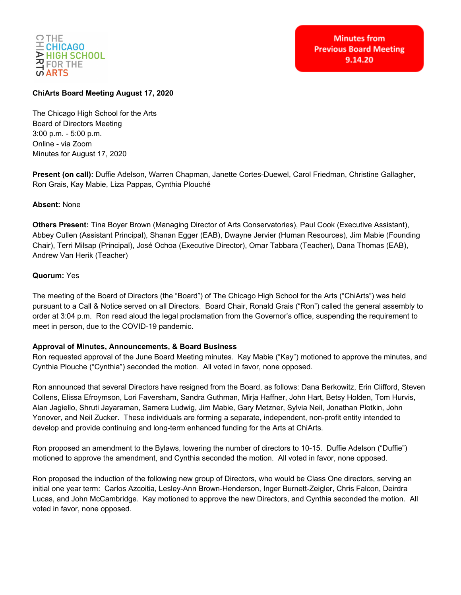

# **ChiArts Board Meeting August 17, 2020**

The Chicago High School for the Arts Board of Directors Meeting 3:00 p.m. - 5:00 p.m. Online - via Zoom Minutes for August 17, 2020

**Present (on call):** Duffie Adelson, Warren Chapman, Janette Cortes-Duewel, Carol Friedman, Christine Gallagher, Ron Grais, Kay Mabie, Liza Pappas, Cynthia Plouché

# **Absent:** None

**Others Present:** Tina Boyer Brown (Managing Director of Arts Conservatories), Paul Cook (Executive Assistant), Abbey Cullen (Assistant Principal), Shanan Egger (EAB), Dwayne Jervier (Human Resources), Jim Mabie (Founding Chair), Terri Milsap (Principal), José Ochoa (Executive Director), Omar Tabbara (Teacher), Dana Thomas (EAB), Andrew Van Herik (Teacher)

### **Quorum:** Yes

The meeting of the Board of Directors (the "Board") of The Chicago High School for the Arts ("ChiArts") was held pursuant to a Call & Notice served on all Directors. Board Chair, Ronald Grais ("Ron") called the general assembly to order at 3:04 p.m. Ron read aloud the legal proclamation from the Governor's office, suspending the requirement to meet in person, due to the COVID-19 pandemic.

# **Approval of Minutes, Announcements, & Board Business**

Ron requested approval of the June Board Meeting minutes. Kay Mabie ("Kay") motioned to approve the minutes, and Cynthia Plouche ("Cynthia") seconded the motion. All voted in favor, none opposed.

Ron announced that several Directors have resigned from the Board, as follows: Dana Berkowitz, Erin Clifford, Steven Collens, Elissa Efroymson, Lori Faversham, Sandra Guthman, Mirja Haffner, John Hart, Betsy Holden, Tom Hurvis, Alan Jagiello, Shruti Jayaraman, Samera Ludwig, Jim Mabie, Gary Metzner, Sylvia Neil, Jonathan Plotkin, John Yonover, and Neil Zucker. These individuals are forming a separate, independent, non-profit entity intended to develop and provide continuing and long-term enhanced funding for the Arts at ChiArts.

Ron proposed an amendment to the Bylaws, lowering the number of directors to 10-15. Duffie Adelson ("Duffie") motioned to approve the amendment, and Cynthia seconded the motion. All voted in favor, none opposed.

Ron proposed the induction of the following new group of Directors, who would be Class One directors, serving an initial one year term: Carlos Azcoitia, Lesley-Ann Brown-Henderson, Inger Burnett-Zeigler, Chris Falcon, Deirdra Lucas, and John McCambridge. Kay motioned to approve the new Directors, and Cynthia seconded the motion. All voted in favor, none opposed.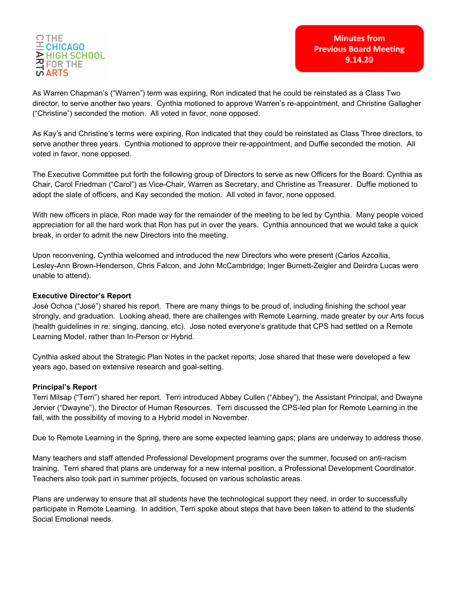

**Minutes from Previous Board Meeting** 9.14.20

As Warren Chapman's ("Warren") term was expiring, Ron indicated that he could be reinstated as a Class Two director, to serve another two years. Cynthia motioned to approve Warren's re-appointment, and Christine Gallagher ("Christine") seconded the motion. All voted in favor, none opposed.

As Kay's and Christine's terms were expiring, Ron indicated that they could be reinstated as Class Three directors, to serve another three years. Cynthia motioned to approve their re-appointment, and Duffie seconded the motion. All voted in favor, none opposed.

The Executive Committee put forth the following group of Directors to serve as new Officers for the Board: Cynthia as Chair, Carol Friedman ("Carol") as Vice-Chair, Warren as Secretary, and Christine as Treasurer. Duffie motioned to adopt the slate of officers, and Kay seconded the motion. All voted in favor, none opposed.

With new officers in place, Ron made way for the remainder of the meeting to be led by Cynthia. Many people voiced appreciation for all the hard work that Ron has put in over the years. Cynthia announced that we would take a quick break, in order to admit the new Directors into the meeting.

Upon reconvening, Cynthia welcomed and introduced the new Directors who were present (Carlos Azcoitia, Lesley-Ann Brown-Henderson, Chris Falcon, and John McCambridge; Inger Burnett-Zeigler and Deirdra Lucas were unable to attend).

### **Executive Director's Report**

José Ochoa ("José") shared his report. There are many things to be proud of, including finishing the school year strongly, and graduation. Looking ahead, there are challenges with Remote Learning, made greater by our Arts focus (health guidelines in re: singing, dancing, etc). Jose noted everyone's gratitude that CPS had settled on a Remote Learning Model, rather than In-Person or Hybrid.

Cynthia asked about the Strategic Plan Notes in the packet reports; Jose shared that these were developed a few years ago, based on extensive research and goal-setting.

### **Principal's Report**

Terri Milsap ("Terri") shared her report. Terri introduced Abbey Cullen ("Abbey"), the Assistant Principal, and Dwayne Jervier ("Dwayne"), the Director of Human Resources. Terri discussed the CPS-led plan for Remote Learning in the fall, with the possibility of moving to a Hybrid model in November.

Due to Remote Learning in the Spring, there are some expected learning gaps; plans are underway to address those.

Many teachers and staff attended Professional Development programs over the summer, focused on anti-racism training. Terri shared that plans are underway for a new internal position, a Professional Development Coordinator. Teachers also took part in summer projects, focused on various scholastic areas.

Plans are underway to ensure that all students have the technological support they need, in order to successfully participate in Remote Learning. In addition, Terri spoke about steps that have been taken to attend to the students' Social Emotional needs.